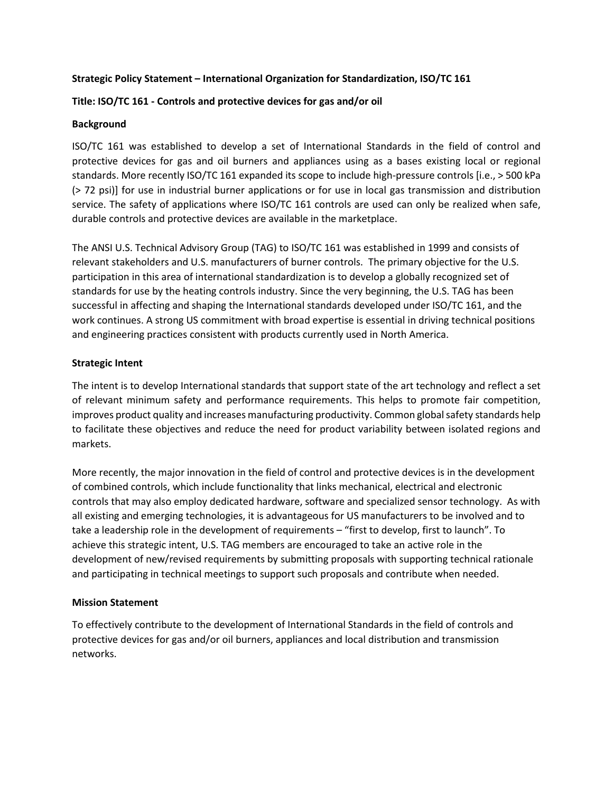## **Strategic Policy Statement – International Organization for Standardization, ISO/TC 161**

# **Title: ISO/TC 161 - Controls and protective devices for gas and/or oil**

## **Background**

ISO/TC 161 was established to develop a set of International Standards in the field of control and protective devices for gas and oil burners and appliances using as a bases existing local or regional standards. More recently ISO/TC 161 expanded its scope to include high-pressure controls [i.e., > 500 kPa (> 72 psi)] for use in industrial burner applications or for use in local gas transmission and distribution service. The safety of applications where ISO/TC 161 controls are used can only be realized when safe, durable controls and protective devices are available in the marketplace.

The ANSI U.S. Technical Advisory Group (TAG) to ISO/TC 161 was established in 1999 and consists of relevant stakeholders and U.S. manufacturers of burner controls. The primary objective for the U.S. participation in this area of international standardization is to develop a globally recognized set of standards for use by the heating controls industry. Since the very beginning, the U.S. TAG has been successful in affecting and shaping the International standards developed under ISO/TC 161, and the work continues. A strong US commitment with broad expertise is essential in driving technical positions and engineering practices consistent with products currently used in North America.

## **Strategic Intent**

The intent is to develop International standards that support state of the art technology and reflect a set of relevant minimum safety and performance requirements. This helps to promote fair competition, improves product quality and increases manufacturing productivity. Common global safety standards help to facilitate these objectives and reduce the need for product variability between isolated regions and markets.

More recently, the major innovation in the field of control and protective devices is in the development of combined controls, which include functionality that links mechanical, electrical and electronic controls that may also employ dedicated hardware, software and specialized sensor technology. As with all existing and emerging technologies, it is advantageous for US manufacturers to be involved and to take a leadership role in the development of requirements – "first to develop, first to launch". To achieve this strategic intent, U.S. TAG members are encouraged to take an active role in the development of new/revised requirements by submitting proposals with supporting technical rationale and participating in technical meetings to support such proposals and contribute when needed.

## **Mission Statement**

To effectively contribute to the development of International Standards in the field of controls and protective devices for gas and/or oil burners, appliances and local distribution and transmission networks.